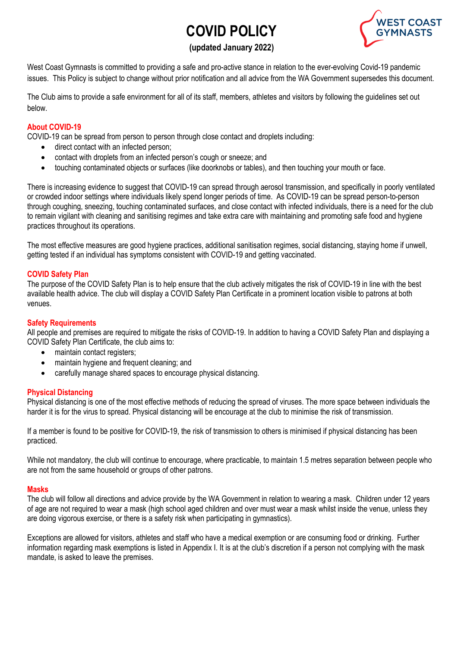# **COVID POLICY**



# **(updated January 2022)**

West Coast Gymnasts is committed to providing a safe and pro-active stance in relation to the ever-evolving Covid-19 pandemic issues. This Policy is subject to change without prior notification and all advice from the WA Government supersedes this document.

The Club aims to provide a safe environment for all of its staff, members, athletes and visitors by following the guidelines set out below.

## **About COVID-19**

COVID-19 can be spread from person to person through close contact and droplets including:

- direct contact with an infected person;
- contact with droplets from an infected person's cough or sneeze; and
- touching contaminated objects or surfaces (like doorknobs or tables), and then touching your mouth or face.

There is increasing evidence to suggest that COVID-19 can spread through aerosol transmission, and specifically in poorly ventilated or crowded indoor settings where individuals likely spend longer periods of time. As COVID-19 can be spread person-to-person through coughing, sneezing, touching contaminated surfaces, and close contact with infected individuals, there is a need for the club to remain vigilant with cleaning and sanitising regimes and take extra care with maintaining and promoting safe food and hygiene practices throughout its operations.

The most effective measures are good hygiene practices, additional sanitisation regimes, social distancing, staying home if unwell, getting tested if an individual has symptoms consistent with COVID-19 and getting vaccinated.

#### **COVID Safety Plan**

The purpose of the COVID Safety Plan is to help ensure that the club actively mitigates the risk of COVID-19 in line with the best available health advice. The club will display a COVID Safety Plan Certificate in a prominent location visible to patrons at both venues.

#### **Safety Requirements**

All people and premises are required to mitigate the risks of COVID-19. In addition to having a COVID Safety Plan and displaying a COVID Safety Plan Certificate, the club aims to:

- maintain contact registers;
- maintain hygiene and frequent cleaning; and
- carefully manage shared spaces to encourage physical distancing.

#### **Physical Distancing**

Physical distancing is one of the most effective methods of reducing the spread of viruses. The more space between individuals the harder it is for the virus to spread. Physical distancing will be encourage at the club to minimise the risk of transmission.

If a member is found to be positive for COVID-19, the risk of transmission to others is minimised if physical distancing has been practiced.

While not mandatory, the club will continue to encourage, where practicable, to maintain 1.5 metres separation between people who are not from the same household or groups of other patrons.

#### **Masks**

The club will follow all directions and advice provide by the WA Government in relation to wearing a mask. Children under 12 years of age are not required to wear a mask (high school aged children and over must wear a mask whilst inside the venue, unless they are doing vigorous exercise, or there is a safety risk when participating in gymnastics).

Exceptions are allowed for visitors, athletes and staff who have a medical exemption or are consuming food or drinking. Further information regarding mask exemptions is listed in Appendix I. It is at the club's discretion if a person not complying with the mask mandate, is asked to leave the premises.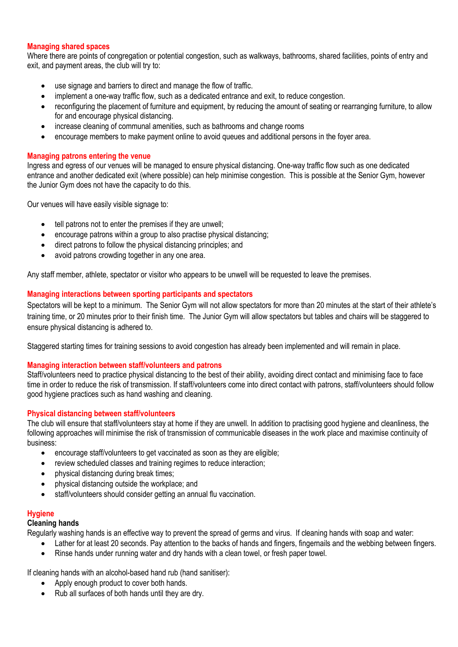#### **Managing shared spaces**

Where there are points of congregation or potential congestion, such as walkways, bathrooms, shared facilities, points of entry and exit, and payment areas, the club will try to:

- use signage and barriers to direct and manage the flow of traffic.
- implement a one-way traffic flow, such as a dedicated entrance and exit, to reduce congestion.
- reconfiguring the placement of furniture and equipment, by reducing the amount of seating or rearranging furniture, to allow for and encourage physical distancing.
- increase cleaning of communal amenities, such as bathrooms and change rooms
- encourage members to make payment online to avoid queues and additional persons in the foyer area.

#### **Managing patrons entering the venue**

Ingress and egress of our venues will be managed to ensure physical distancing. One-way traffic flow such as one dedicated entrance and another dedicated exit (where possible) can help minimise congestion. This is possible at the Senior Gym, however the Junior Gym does not have the capacity to do this.

Our venues will have easily visible signage to:

- tell patrons not to enter the premises if they are unwell;
- encourage patrons within a group to also practise physical distancing;
- direct patrons to follow the physical distancing principles; and
- avoid patrons crowding together in any one area.

Any staff member, athlete, spectator or visitor who appears to be unwell will be requested to leave the premises.

#### **Managing interactions between sporting participants and spectators**

Spectators will be kept to a minimum. The Senior Gym will not allow spectators for more than 20 minutes at the start of their athlete's training time, or 20 minutes prior to their finish time. The Junior Gym will allow spectators but tables and chairs will be staggered to ensure physical distancing is adhered to.

Staggered starting times for training sessions to avoid congestion has already been implemented and will remain in place.

#### **Managing interaction between staff/volunteers and patrons**

Staff/volunteers need to practice physical distancing to the best of their ability, avoiding direct contact and minimising face to face time in order to reduce the risk of transmission. If staff/volunteers come into direct contact with patrons, staff/volunteers should follow good hygiene practices such as hand washing and cleaning.

#### **Physical distancing between staff/volunteers**

The club will ensure that staff/volunteers stay at home if they are unwell. In addition to practising good hygiene and cleanliness, the following approaches will minimise the risk of transmission of communicable diseases in the work place and maximise continuity of business:

- encourage staff/volunteers to get vaccinated as soon as they are eligible;
- review scheduled classes and training regimes to reduce interaction;
- physical distancing during break times;
- physical distancing outside the workplace; and
- staff/volunteers should consider getting an annual flu vaccination.

# **Hygiene**

#### **Cleaning hands**

Regularly washing hands is an effective way to prevent the spread of germs and virus. If cleaning hands with soap and water:

- Lather for at least 20 seconds. Pay attention to the backs of hands and fingers, fingernails and the webbing between fingers.
- Rinse hands under running water and dry hands with a clean towel, or fresh paper towel.

If cleaning hands with an alcohol-based hand rub (hand sanitiser):

- Apply enough product to cover both hands.
- Rub all surfaces of both hands until they are dry.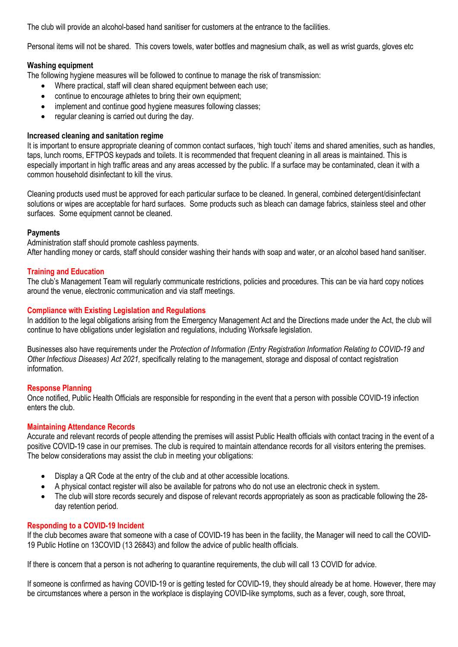The club will provide an alcohol-based hand sanitiser for customers at the entrance to the facilities.

Personal items will not be shared. This covers towels, water bottles and magnesium chalk, as well as wrist guards, gloves etc

#### **Washing equipment**

The following hygiene measures will be followed to continue to manage the risk of transmission:

- Where practical, staff will clean shared equipment between each use;
- continue to encourage athletes to bring their own equipment;
- implement and continue good hygiene measures following classes:
- regular cleaning is carried out during the day.

#### **Increased cleaning and sanitation regime**

It is important to ensure appropriate cleaning of common contact surfaces, 'high touch' items and shared amenities, such as handles, taps, lunch rooms, EFTPOS keypads and toilets. It is recommended that frequent cleaning in all areas is maintained. This is especially important in high traffic areas and any areas accessed by the public. If a surface may be contaminated, clean it with a common household disinfectant to kill the virus.

Cleaning products used must be approved for each particular surface to be cleaned. In general, combined detergent/disinfectant solutions or wipes are acceptable for hard surfaces. Some products such as bleach can damage fabrics, stainless steel and other surfaces. Some equipment cannot be cleaned.

#### **Payments**

Administration staff should promote cashless payments.

After handling money or cards, staff should consider washing their hands with soap and water, or an alcohol based hand sanitiser.

#### **Training and Education**

The club's Management Team will regularly communicate restrictions, policies and procedures. This can be via hard copy notices around the venue, electronic communication and via staff meetings.

#### **Compliance with Existing Legislation and Regulations**

In addition to the legal obligations arising from the Emergency Management Act and the Directions made under the Act, the club will continue to have obligations under legislation and regulations, including Worksafe legislation.

Businesses also have requirements under the *Protection of Information (Entry Registration Information Relating to COVID-19 and Other Infectious Diseases) Act 2021,* specifically relating to the management, storage and disposal of contact registration information.

#### **Response Planning**

Once notified, Public Health Officials are responsible for responding in the event that a person with possible COVID-19 infection enters the club.

#### **Maintaining Attendance Records**

Accurate and relevant records of people attending the premises will assist Public Health officials with contact tracing in the event of a positive COVID-19 case in our premises. The club is required to maintain attendance records for all visitors entering the premises. The below considerations may assist the club in meeting your obligations:

- Display a QR Code at the entry of the club and at other accessible locations.
- A physical contact register will also be available for patrons who do not use an electronic check in system.
- The club will store records securely and dispose of relevant records appropriately as soon as practicable following the 28 day retention period.

#### **Responding to a COVID-19 Incident**

If the club becomes aware that someone with a case of COVID-19 has been in the facility, the Manager will need to call the COVID-19 Public Hotline on 13COVID (13 26843) and follow the advice of public health officials.

If there is concern that a person is not adhering to quarantine requirements, the club will call 13 COVID for advice.

If someone is confirmed as having COVID-19 or is getting tested for COVID-19, they should already be at home. However, there may be circumstances where a person in the workplace is displaying COVID-like symptoms, such as a fever, cough, sore throat,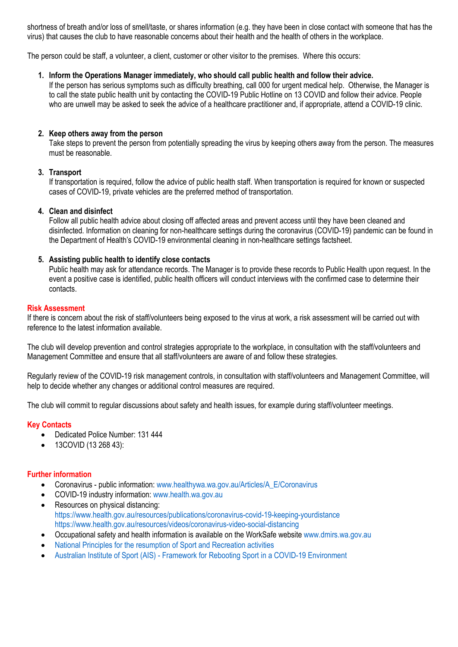shortness of breath and/or loss of smell/taste, or shares information (e.g. they have been in close contact with someone that has the virus) that causes the club to have reasonable concerns about their health and the health of others in the workplace.

The person could be staff, a volunteer, a client, customer or other visitor to the premises. Where this occurs:

#### **1. Inform the Operations Manager immediately, who should call public health and follow their advice.**

If the person has serious symptoms such as difficulty breathing, call 000 for urgent medical help. Otherwise, the Manager is to call the state public health unit by contacting the COVID-19 Public Hotline on 13 COVID and follow their advice. People who are unwell may be asked to seek the advice of a healthcare practitioner and, if appropriate, attend a COVID-19 clinic.

#### **2. Keep others away from the person**

Take steps to prevent the person from potentially spreading the virus by keeping others away from the person. The measures must be reasonable.

#### **3. Transport**

If transportation is required, follow the advice of public health staff. When transportation is required for known or suspected cases of COVID-19, private vehicles are the preferred method of transportation.

#### **4. Clean and disinfect**

Follow all public health advice about closing off affected areas and prevent access until they have been cleaned and disinfected. Information on cleaning for non-healthcare settings during the coronavirus (COVID-19) pandemic can be found in the Department of Health's COVID-19 environmental cleaning in non-healthcare settings factsheet.

#### **5. Assisting public health to identify close contacts**

Public health may ask for attendance records. The Manager is to provide these records to Public Health upon request. In the event a positive case is identified, public health officers will conduct interviews with the confirmed case to determine their contacts.

#### **Risk Assessment**

If there is concern about the risk of staff/volunteers being exposed to the virus at work, a risk assessment will be carried out with reference to the latest information available.

The club will develop prevention and control strategies appropriate to the workplace, in consultation with the staff/volunteers and Management Committee and ensure that all staff/volunteers are aware of and follow these strategies.

Regularly review of the COVID-19 risk management controls, in consultation with staff/volunteers and Management Committee, will help to decide whether any changes or additional control measures are required.

The club will commit to regular discussions about safety and health issues, for example during staff/volunteer meetings.

#### **Key Contacts**

- Dedicated Police Number: 131 444
- 13COVID (13 268 43):

#### **Further information**

- Coronavirus public information: www.healthywa.wa.gov.au/Articles/A\_E/Coronavirus
- COVID-19 industry information: www.health.wa.gov.au
- Resources on physical distancing: https://www.health.gov.au/resources/publications/coronavirus-covid-19-keeping-yourdistance https://www.health.gov.au/resources/videos/coronavirus-video-social-distancing
- Occupational safety and health information is available on the WorkSafe website www.dmirs.wa.gov.au
- National Principles for the resumption of Sport and Recreation activities
- Australian Institute of Sport (AIS) Framework for Rebooting Sport in a COVID-19 Environment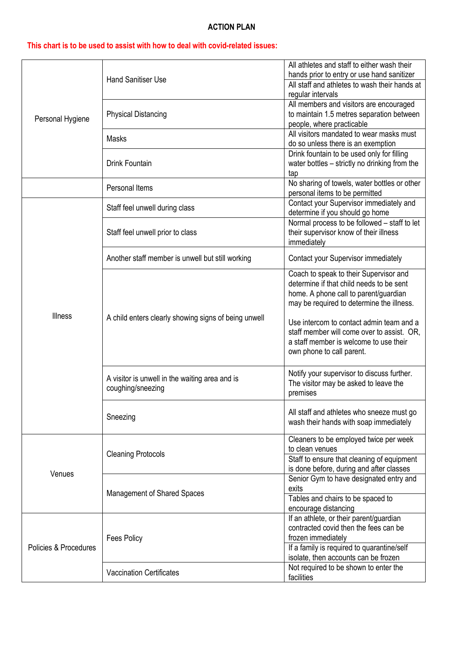## **ACTION PLAN**

# **This chart is to be used to assist with how to deal with covid-related issues:**

| Personal Hygiene      | <b>Hand Sanitiser Use</b>                                           | All athletes and staff to either wash their                                            |
|-----------------------|---------------------------------------------------------------------|----------------------------------------------------------------------------------------|
|                       |                                                                     | hands prior to entry or use hand sanitizer                                             |
|                       |                                                                     | All staff and athletes to wash their hands at<br>regular intervals                     |
|                       | <b>Physical Distancing</b>                                          | All members and visitors are encouraged                                                |
|                       |                                                                     | to maintain 1.5 metres separation between                                              |
|                       |                                                                     | people, where practicable                                                              |
|                       | Masks                                                               | All visitors mandated to wear masks must                                               |
|                       |                                                                     | do so unless there is an exemption                                                     |
|                       | Drink Fountain                                                      | Drink fountain to be used only for filling                                             |
|                       |                                                                     | water bottles - strictly no drinking from the                                          |
|                       |                                                                     | tap                                                                                    |
|                       | Personal Items                                                      | No sharing of towels, water bottles or other<br>personal items to be permitted         |
|                       |                                                                     | Contact your Supervisor immediately and                                                |
|                       | Staff feel unwell during class                                      | determine if you should go home                                                        |
|                       | Staff feel unwell prior to class                                    | Normal process to be followed - staff to let                                           |
|                       |                                                                     | their supervisor know of their illness                                                 |
|                       |                                                                     | immediately                                                                            |
|                       | Another staff member is unwell but still working                    | Contact your Supervisor immediately                                                    |
|                       |                                                                     |                                                                                        |
|                       | A child enters clearly showing signs of being unwell                | Coach to speak to their Supervisor and                                                 |
|                       |                                                                     | determine if that child needs to be sent                                               |
|                       |                                                                     | home. A phone call to parent/guardian                                                  |
|                       |                                                                     | may be required to determine the illness.                                              |
| <b>Illness</b>        |                                                                     | Use intercom to contact admin team and a                                               |
|                       |                                                                     | staff member will come over to assist. OR,                                             |
|                       |                                                                     | a staff member is welcome to use their                                                 |
|                       |                                                                     | own phone to call parent.                                                              |
|                       |                                                                     |                                                                                        |
|                       | A visitor is unwell in the waiting area and is<br>coughing/sneezing | Notify your supervisor to discuss further.                                             |
|                       |                                                                     | The visitor may be asked to leave the                                                  |
|                       |                                                                     | premises                                                                               |
|                       | Sneezing                                                            | All staff and athletes who sneeze must go                                              |
|                       |                                                                     | wash their hands with soap immediately                                                 |
|                       |                                                                     |                                                                                        |
| Venues                | <b>Cleaning Protocols</b>                                           | Cleaners to be employed twice per week                                                 |
|                       |                                                                     | to clean venues                                                                        |
|                       |                                                                     | Staff to ensure that cleaning of equipment<br>is done before, during and after classes |
|                       | Management of Shared Spaces                                         | Senior Gym to have designated entry and                                                |
|                       |                                                                     | exits                                                                                  |
|                       |                                                                     | Tables and chairs to be spaced to                                                      |
|                       |                                                                     | encourage distancing                                                                   |
| Policies & Procedures | <b>Fees Policy</b>                                                  | If an athlete, or their parent/guardian                                                |
|                       |                                                                     | contracted covid then the fees can be                                                  |
|                       |                                                                     | frozen immediately                                                                     |
|                       |                                                                     | If a family is required to quarantine/self                                             |
|                       | <b>Vaccination Certificates</b>                                     | isolate, then accounts can be frozen<br>Not required to be shown to enter the          |
|                       |                                                                     | facilities                                                                             |
|                       |                                                                     |                                                                                        |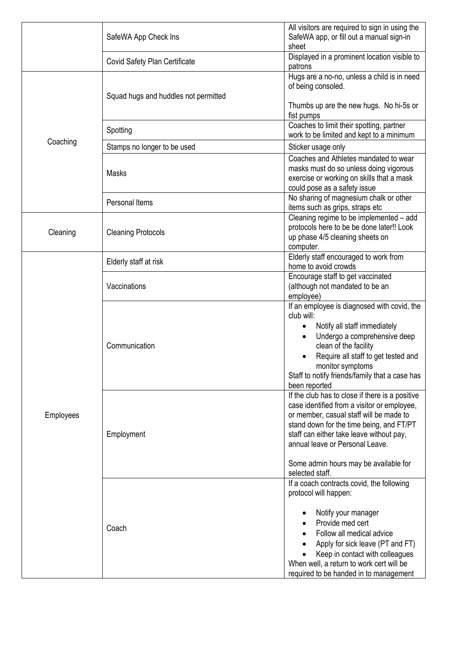|           | SafeWA App Check Ins                 | All visitors are required to sign in using the<br>SafeWA app, or fill out a manual sign-in<br>sheet                                                                                                                                                                                                                              |
|-----------|--------------------------------------|----------------------------------------------------------------------------------------------------------------------------------------------------------------------------------------------------------------------------------------------------------------------------------------------------------------------------------|
|           | Covid Safety Plan Certificate        | Displayed in a prominent location visible to<br>patrons                                                                                                                                                                                                                                                                          |
| Coaching  | Squad hugs and huddles not permitted | Hugs are a no-no, unless a child is in need<br>of being consoled.<br>Thumbs up are the new hugs. No hi-5s or                                                                                                                                                                                                                     |
|           |                                      | fist pumps<br>Coaches to limit their spotting, partner                                                                                                                                                                                                                                                                           |
|           | Spotting                             | work to be limited and kept to a minimum                                                                                                                                                                                                                                                                                         |
|           | Stamps no longer to be used          | Sticker usage only                                                                                                                                                                                                                                                                                                               |
|           | <b>Masks</b>                         | Coaches and Athletes mandated to wear<br>masks must do so unless doing vigorous<br>exercise or working on skills that a mask<br>could pose as a safety issue                                                                                                                                                                     |
|           | Personal Items                       | No sharing of magnesium chalk or other<br>items such as grips, straps etc                                                                                                                                                                                                                                                        |
| Cleaning  | <b>Cleaning Protocols</b>            | Cleaning regime to be implemented - add<br>protocols here to be be done later!! Look<br>up phase 4/5 cleaning sheets on<br>computer.                                                                                                                                                                                             |
| Employees | Elderly staff at risk                | Elderly staff encouraged to work from<br>home to avoid crowds                                                                                                                                                                                                                                                                    |
|           | Vaccinations                         | Encourage staff to get vaccinated<br>(although not mandated to be an<br>employee)                                                                                                                                                                                                                                                |
|           | Communication                        | If an employee is diagnosed with covid, the<br>club will:<br>Notify all staff immediately<br>$\bullet$<br>Undergo a comprehensive deep<br>$\bullet$<br>clean of the facility<br>Require all staff to get tested and<br>monitor symptoms<br>Staff to notify friends/family that a case has<br>been reported                       |
|           | Employment                           | If the club has to close if there is a positive<br>case identified from a visitor or employee,<br>or member, casual staff will be made to<br>stand down for the time being, and FT/PT<br>staff can either take leave without pay,<br>annual leave or Personal Leave.<br>Some admin hours may be available for<br>selected staff. |
|           | Coach                                | If a coach contracts covid, the following<br>protocol will happen:<br>Notify your manager<br>Provide med cert<br>Follow all medical advice<br>Apply for sick leave (PT and FT)<br>Keep in contact with colleagues<br>When well, a return to work cert will be<br>required to be handed in to management                          |